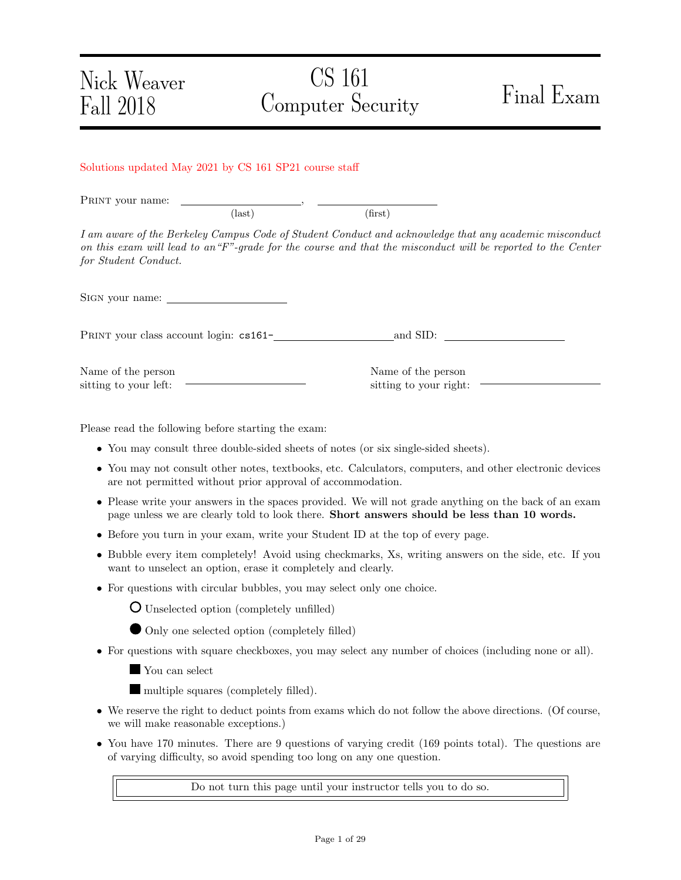# CS 161 Computer Security Final Exam

#### Solutions updated May 2021 by CS 161 SP21 course staff

PRINT your name:  $\text{(last)}\tag{first}$ 

I am aware of the Berkeley Campus Code of Student Conduct and acknowledge that any academic misconduct on this exam will lead to an"F"-grade for the course and that the misconduct will be reported to the Center for Student Conduct.

SIGN your name:

PRINT your class account login: cs161-<br>
<u>and SID:</u>

Name of the person sitting to your left:

Name of the person sitting to your right:

Please read the following before starting the exam:

- You may consult three double-sided sheets of notes (or six single-sided sheets).
- You may not consult other notes, textbooks, etc. Calculators, computers, and other electronic devices are not permitted without prior approval of accommodation.
- Please write your answers in the spaces provided. We will not grade anything on the back of an exam page unless we are clearly told to look there. Short answers should be less than 10 words.
- Before you turn in your exam, write your Student ID at the top of every page.
- Bubble every item completely! Avoid using checkmarks, Xs, writing answers on the side, etc. If you want to unselect an option, erase it completely and clearly.
- For questions with circular bubbles, you may select only one choice.

Unselected option (completely unfilled)

Only one selected option (completely filled)

- For questions with square checkboxes, you may select any number of choices (including none or all).
	- You can select

multiple squares (completely filled).

- We reserve the right to deduct points from exams which do not follow the above directions. (Of course, we will make reasonable exceptions.)
- You have 170 minutes. There are 9 questions of varying credit (169 points total). The questions are of varying difficulty, so avoid spending too long on any one question.

Do not turn this page until your instructor tells you to do so.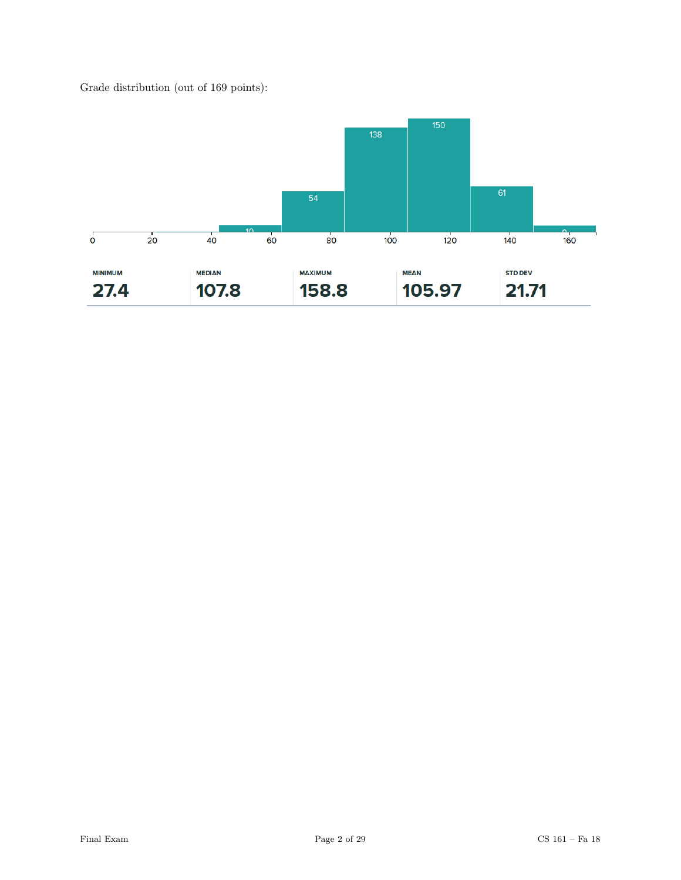Grade distribution (out of 169 points):

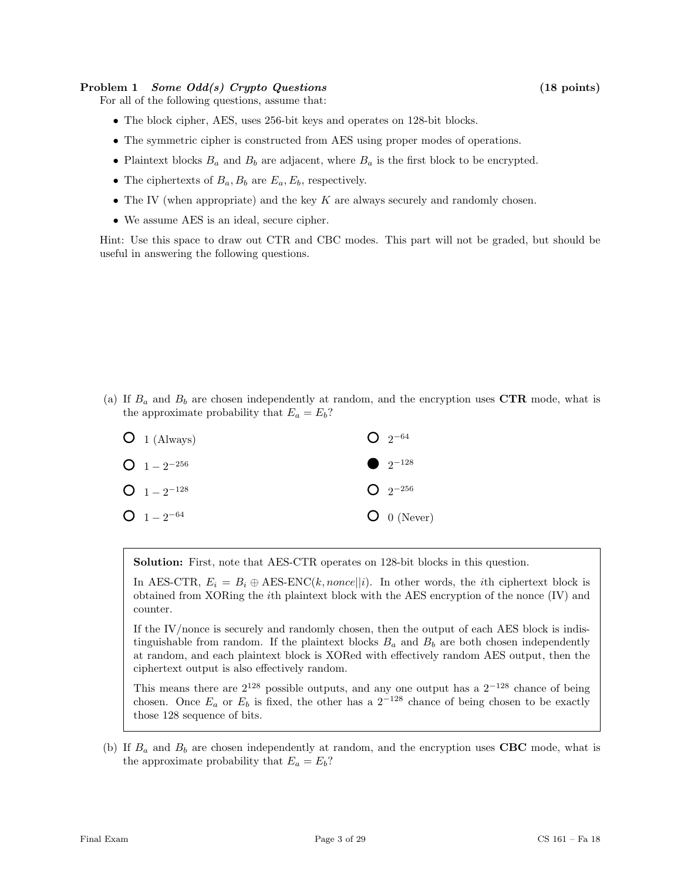#### Problem 1 Some Odd(s) Crypto Questions (18 points)

For all of the following questions, assume that:

- The block cipher, AES, uses 256-bit keys and operates on 128-bit blocks.
- The symmetric cipher is constructed from AES using proper modes of operations.
- Plaintext blocks  $B_a$  and  $B_b$  are adjacent, where  $B_a$  is the first block to be encrypted.
- The ciphertexts of  $B_a$ ,  $B_b$  are  $E_a$ ,  $E_b$ , respectively.
- The IV (when appropriate) and the key  $K$  are always securely and randomly chosen.
- We assume AES is an ideal, secure cipher.

Hint: Use this space to draw out CTR and CBC modes. This part will not be graded, but should be useful in answering the following questions.

(a) If  $B_a$  and  $B_b$  are chosen independently at random, and the encryption uses CTR mode, what is the approximate probability that  $E_a = E_b$ ?

| $O_1$ (Always)   | $Q_{2^{-64}}$ |
|------------------|---------------|
| $Q_1 = 2^{-256}$ | • $2^{-128}$  |
| $Q_1 = 2^{-128}$ | $Q_{2}$ -256  |
| $O_1 - 2^{-64}$  | $O_0$ (Never) |

Solution: First, note that AES-CTR operates on 128-bit blocks in this question.

In AES-CTR,  $E_i = B_i \oplus \text{AES-ENC}(k, nonce||i)$ . In other words, the *i*th ciphertext block is obtained from XORing the ith plaintext block with the AES encryption of the nonce (IV) and counter.

If the IV/nonce is securely and randomly chosen, then the output of each AES block is indistinguishable from random. If the plaintext blocks  $B_a$  and  $B_b$  are both chosen independently at random, and each plaintext block is XORed with effectively random AES output, then the ciphertext output is also effectively random.

This means there are  $2^{128}$  possible outputs, and any one output has a  $2^{-128}$  chance of being chosen. Once  $E_a$  or  $E_b$  is fixed, the other has a 2<sup>-128</sup> chance of being chosen to be exactly those 128 sequence of bits.

(b) If  $B_a$  and  $B_b$  are chosen independently at random, and the encryption uses CBC mode, what is the approximate probability that  $E_a = E_b$ ?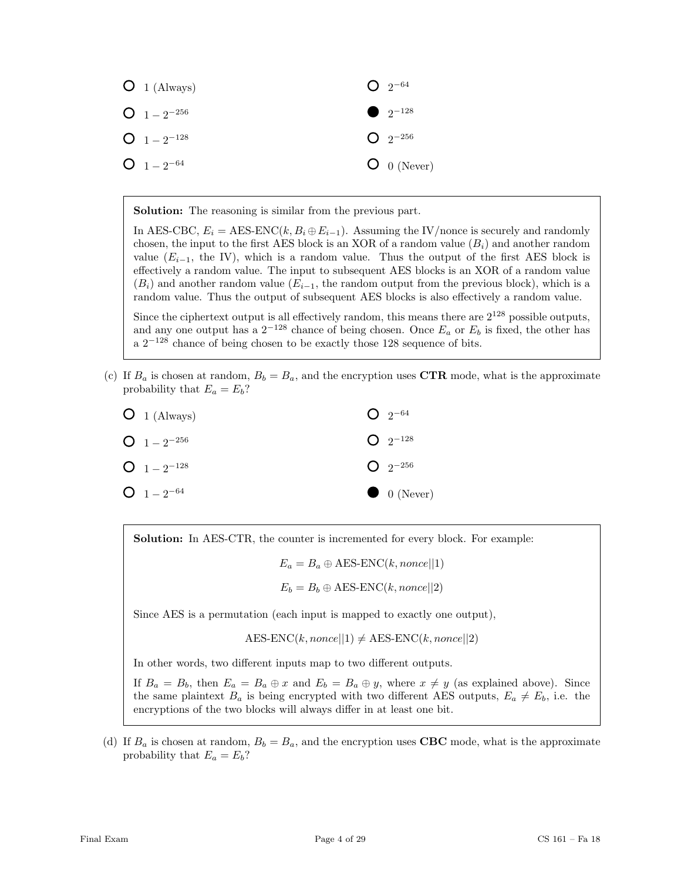

Solution: The reasoning is similar from the previous part.

In AES-CBC,  $E_i = \text{AES-ENC}(k, B_i \oplus E_{i-1})$ . Assuming the IV/nonce is securely and randomly chosen, the input to the first AES block is an XOR of a random value  $(B<sub>i</sub>)$  and another random value ( $E_{i-1}$ , the IV), which is a random value. Thus the output of the first AES block is effectively a random value. The input to subsequent AES blocks is an XOR of a random value  $(B_i)$  and another random value  $(E_{i-1},$  the random output from the previous block), which is a random value. Thus the output of subsequent AES blocks is also effectively a random value.

Since the ciphertext output is all effectively random, this means there are  $2^{128}$  possible outputs, and any one output has a  $2^{-128}$  chance of being chosen. Once  $E_a$  or  $E_b$  is fixed, the other has a  $2^{-128}$  chance of being chosen to be exactly those 128 sequence of bits.

(c) If  $B_a$  is chosen at random,  $B_b = B_a$ , and the encryption uses CTR mode, what is the approximate probability that  $E_a = E_b$ ?

| $O_1$ (Always)   | $Q_{2^{-64}}$           |
|------------------|-------------------------|
| $Q_1 = 2^{-256}$ | $Q_{2}$ <sup>-128</sup> |
| $Q_1 = 2^{-128}$ | $Q_{2^{-256}}$          |
| $O_1 - 2^{-64}$  | $\bullet$ 0 (Never)     |

Solution: In AES-CTR, the counter is incremented for every block. For example:

 $E_a = B_a \oplus \text{AES-ENC}(k, none||1)$ 

$$
E_b = B_b \oplus \text{AES-ENC}(k, nonce||2)
$$

Since AES is a permutation (each input is mapped to exactly one output),

 $AES\text{-}ENC(k, nonce||1) \neq AES\text{-}ENC(k, nonce||2)$ 

In other words, two different inputs map to two different outputs.

If  $B_a = B_b$ , then  $E_a = B_a \oplus x$  and  $E_b = B_a \oplus y$ , where  $x \neq y$  (as explained above). Since the same plaintext  $B_a$  is being encrypted with two different AES outputs,  $E_a \neq E_b$ , i.e. the encryptions of the two blocks will always differ in at least one bit.

(d) If  $B_a$  is chosen at random,  $B_b = B_a$ , and the encryption uses **CBC** mode, what is the approximate probability that  $E_a = E_b$ ?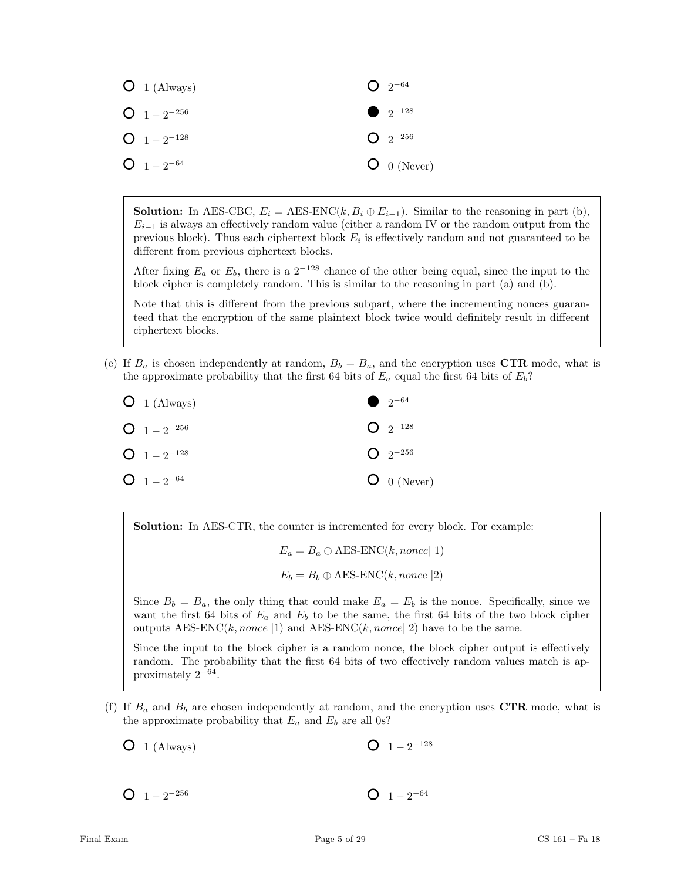

**Solution:** In AES-CBC,  $E_i = \text{AES-ENC}(k, B_i \oplus E_{i-1})$ . Similar to the reasoning in part (b),  $E_{i-1}$  is always an effectively random value (either a random IV or the random output from the previous block). Thus each ciphertext block  $E_i$  is effectively random and not guaranteed to be different from previous ciphertext blocks.

After fixing  $E_a$  or  $E_b$ , there is a 2<sup>−128</sup> chance of the other being equal, since the input to the block cipher is completely random. This is similar to the reasoning in part (a) and (b).

Note that this is different from the previous subpart, where the incrementing nonces guaranteed that the encryption of the same plaintext block twice would definitely result in different ciphertext blocks.

(e) If  $B_a$  is chosen independently at random,  $B_b = B_a$ , and the encryption uses CTR mode, what is the approximate probability that the first 64 bits of  $E_a$  equal the first 64 bits of  $E_b$ ?

| $O_1$ (Always)   | • $2^{-64}$    |
|------------------|----------------|
| $Q_1 = 2^{-256}$ | $Q_{2^{-128}}$ |
| $Q_1 = 2^{-128}$ | $Q_{2}$ -256   |
| $Q_1 = 2^{-64}$  | $O$ 0 (Never)  |

Solution: In AES-CTR, the counter is incremented for every block. For example:

 $E_a = B_a \oplus \text{AES-ENC}(k, none[|1])$ 

 $E_b = B_b \oplus \text{AES-ENC}(k, nonce||2)$ 

Since  $B_b = B_a$ , the only thing that could make  $E_a = E_b$  is the nonce. Specifically, since we want the first 64 bits of  $E_a$  and  $E_b$  to be the same, the first 64 bits of the two block cipher outputs AES-ENC(k, nonce||1) and AES-ENC(k, nonce||2) have to be the same.

Since the input to the block cipher is a random nonce, the block cipher output is effectively random. The probability that the first 64 bits of two effectively random values match is approximately 2<sup>−</sup><sup>64</sup> .

(f) If  $B_a$  and  $B_b$  are chosen independently at random, and the encryption uses CTR mode, what is the approximate probability that  $E_a$  and  $E_b$  are all 0s?

 $O_1$  (Always)  $1-2^{-128}$ 

 $1-2^{-256}$  $1-2^{-64}$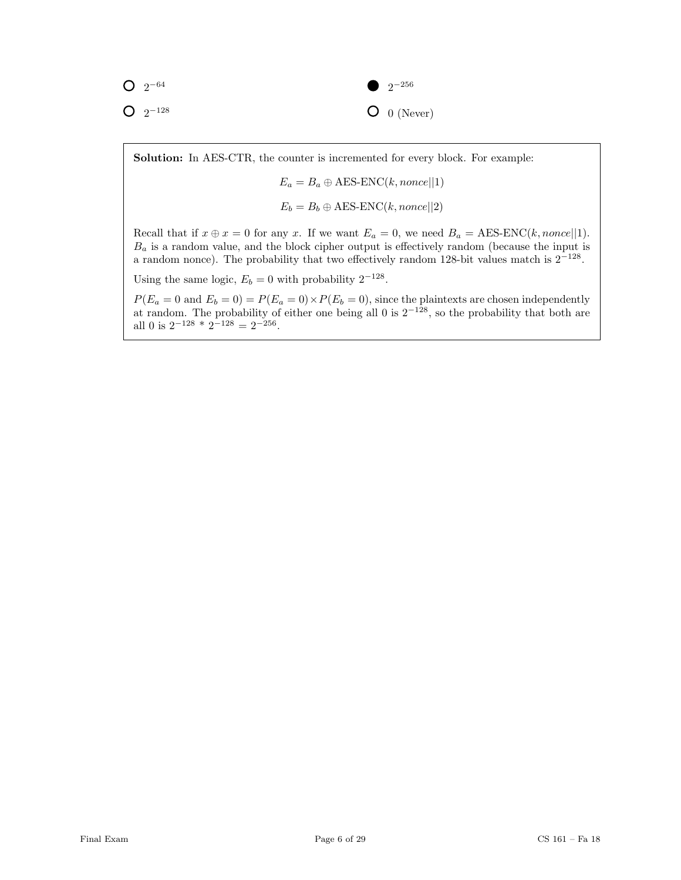$2^{-64}$  $2^{-128}$ 

## $2^{-256}$  $O_0$  (Never)

Solution: In AES-CTR, the counter is incremented for every block. For example:

 $E_a = B_a \oplus \text{AES-ENC}(k, none||1)$ 

$$
E_b = B_b \oplus \text{AES-ENC}(k, none[|2])
$$

Recall that if  $x \oplus x = 0$  for any x. If we want  $E_a = 0$ , we need  $B_a = \text{AES-ENC}(k, none[|1])$ .  $B_a$  is a random value, and the block cipher output is effectively random (because the input is a random nonce). The probability that two effectively random 128-bit values match is  $2^{-128}$ .

Using the same logic,  $E_b = 0$  with probability  $2^{-128}$ .

 $P(E_a = 0 \text{ and } E_b = 0) = P(E_a = 0) \times P(E_b = 0)$ , since the plaintexts are chosen independently at random. The probability of either one being all 0 is  $2^{-128}$ , so the probability that both are all 0 is  $2^{-128} \times 2^{-128} = 2^{-256}$ .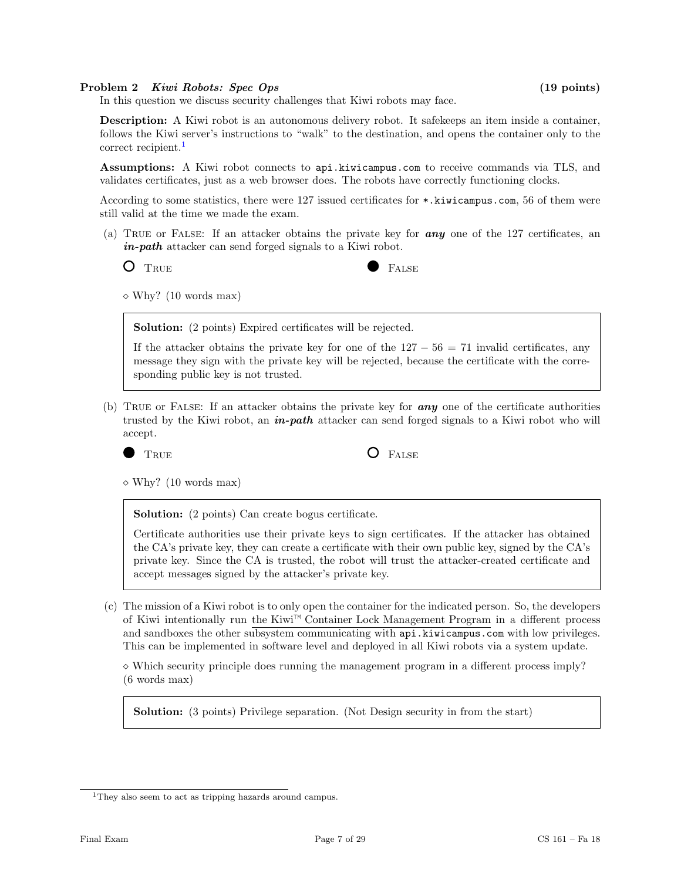#### Problem 2 Kiwi Robots: Spec Ops (19 points)

In this question we discuss security challenges that Kiwi robots may face.

Description: A Kiwi robot is an autonomous delivery robot. It safekeeps an item inside a container, follows the Kiwi server's instructions to "walk" to the destination, and opens the container only to the correct recipient.<sup>[1](#page-6-0)</sup>

Assumptions: A Kiwi robot connects to api.kiwicampus.com to receive commands via TLS, and validates certificates, just as a web browser does. The robots have correctly functioning clocks.

According to some statistics, there were 127 issued certificates for \*.kiwicampus.com, 56 of them were still valid at the time we made the exam.

(a) True or False: If an attacker obtains the private key for any one of the 127 certificates, an in-path attacker can send forged signals to a Kiwi robot.

O TRUE FALSE

 $\diamond$  Why? (10 words max)

Solution: (2 points) Expired certificates will be rejected.

If the attacker obtains the private key for one of the  $127 - 56 = 71$  invalid certificates, any message they sign with the private key will be rejected, because the certificate with the corresponding public key is not trusted.

(b) TRUE or FALSE: If an attacker obtains the private key for  $\boldsymbol{any}$  one of the certificate authorities trusted by the Kiwi robot, an  $\textbf{\textit{in-path}}$  attacker can send forged signals to a Kiwi robot who will accept.

The False  $\overline{O}$  False

 $\diamond$  Why? (10 words max)

Solution: (2 points) Can create bogus certificate.

Certificate authorities use their private keys to sign certificates. If the attacker has obtained the CA's private key, they can create a certificate with their own public key, signed by the CA's private key. Since the CA is trusted, the robot will trust the attacker-created certificate and accept messages signed by the attacker's private key.

(c) The mission of a Kiwi robot is to only open the container for the indicated person. So, the developers of Kiwi intentionally run the Kiwi™ Container Lock Management Program in a different process and sandboxes the other subsystem communicating with api.kiwicampus.com with low privileges. This can be implemented in software level and deployed in all Kiwi robots via a system update.

 $\Diamond$  Which security principle does running the management program in a different process imply? (6 words max)

Solution: (3 points) Privilege separation. (Not Design security in from the start)

<span id="page-6-0"></span><sup>&</sup>lt;sup>1</sup>They also seem to act as tripping hazards around campus.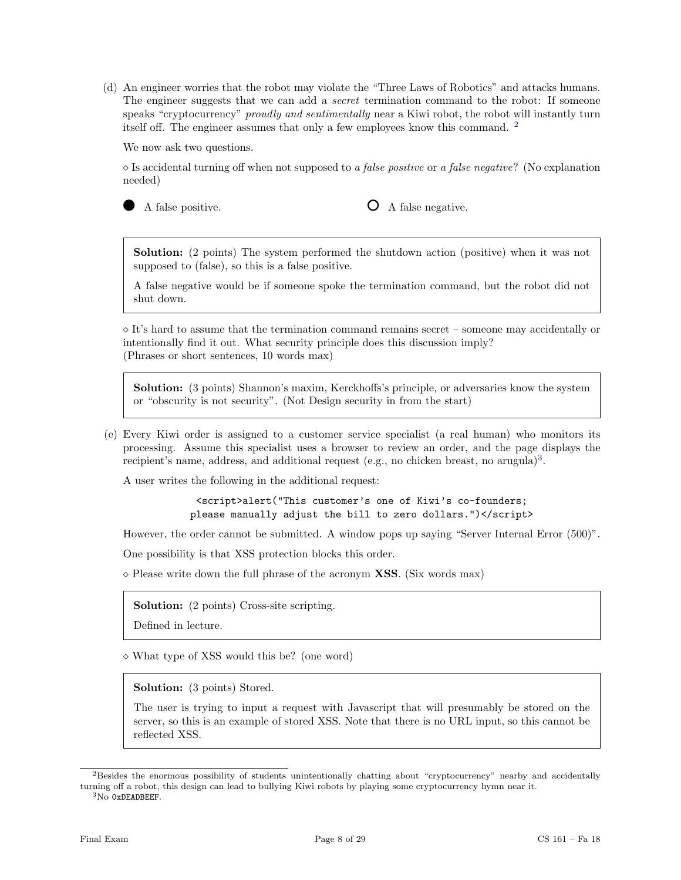(d) An engineer worries that the robot may violate the "Three Laws of Robotics" and attacks humans. The engineer suggests that we can add a *secret* termination command to the robot: If someone speaks "cryptocurrency" *proudly and sentimentally* near a Kiwi robot, the robot will instantly turn itself off. The engineer assumes that only a few employees know this command. [2](#page-7-0)

We now ask two questions.

 $\Diamond$  Is accidental turning off when not supposed to a false positive or a false negative? (No explanation needed)

A false positive.  $\bigcirc$  A false negative.

Solution: (2 points) The system performed the shutdown action (positive) when it was not supposed to (false), so this is a false positive.

A false negative would be if someone spoke the termination command, but the robot did not shut down.

 $\Diamond$  It's hard to assume that the termination command remains secret – someone may accidentally or intentionally find it out. What security principle does this discussion imply? (Phrases or short sentences, 10 words max)

Solution: (3 points) Shannon's maxim, Kerckhoffs's principle, or adversaries know the system or "obscurity is not security". (Not Design security in from the start)

(e) Every Kiwi order is assigned to a customer service specialist (a real human) who monitors its processing. Assume this specialist uses a browser to review an order, and the page displays the recipient's name, address, and additional request (e.g., no chicken breast, no arugula)<sup>[3](#page-7-1)</sup>.

A user writes the following in the additional request:

<script>alert("This customer's one of Kiwi's co-founders; please manually adjust the bill to zero dollars.")</script>

However, the order cannot be submitted. A window pops up saying "Server Internal Error (500)".

One possibility is that XSS protection blocks this order.

 $\diamond$  Please write down the full phrase of the acronym **XSS**. (Six words max)

Solution: (2 points) Cross-site scripting.

Defined in lecture.

What type of XSS would this be? (one word)

Solution: (3 points) Stored.

The user is trying to input a request with Javascript that will presumably be stored on the server, so this is an example of stored XSS. Note that there is no URL input, so this cannot be reflected XSS.

<span id="page-7-0"></span><sup>2</sup>Besides the enormous possibility of students unintentionally chatting about "cryptocurrency" nearby and accidentally turning off a robot, this design can lead to bullying Kiwi robots by playing some cryptocurrency hymn near it.

<span id="page-7-1"></span> ${}^{3}$ No 0xDEADBEEF.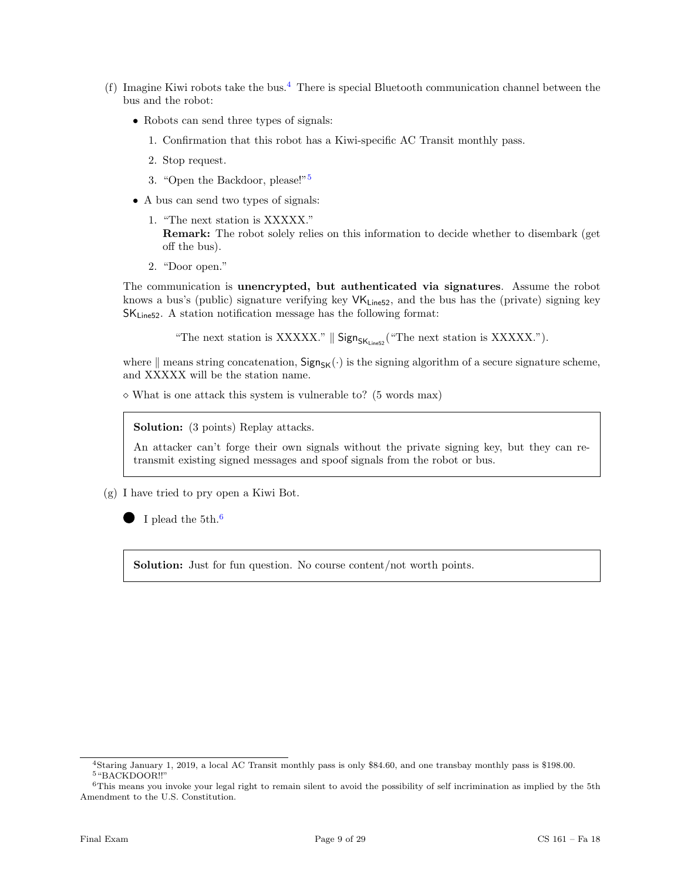- (f) Imagine Kiwi robots take the bus.<sup>[4](#page-8-0)</sup> There is special Bluetooth communication channel between the bus and the robot:
	- Robots can send three types of signals:
		- 1. Confirmation that this robot has a Kiwi-specific AC Transit monthly pass.
		- 2. Stop request.
		- 3. "Open the Backdoor, please!"[5](#page-8-1)
	- A bus can send two types of signals:
		- 1. "The next station is XXXXX." Remark: The robot solely relies on this information to decide whether to disembark (get off the bus).
		- 2. "Door open."

The communication is unencrypted, but authenticated via signatures. Assume the robot knows a bus's (public) signature verifying key  $VK_{\text{Line52}}$ , and the bus has the (private) signing key  $SK<sub>Line52</sub>$ . A station notification message has the following format:

"The next station is XXXXX."  $\parallel$  Sign<sub>SK<sub>Line52</sub> ("The next station is XXXXX.").</sub>

where  $\|$  means string concatenation,  $Sign_{SK}(\cdot)$  is the signing algorithm of a secure signature scheme, and XXXXX will be the station name.

 $\diamond$  What is one attack this system is vulnerable to? (5 words max)

Solution: (3 points) Replay attacks.

An attacker can't forge their own signals without the private signing key, but they can retransmit existing signed messages and spoof signals from the robot or bus.

(g) I have tried to pry open a Kiwi Bot.

I plead the 5th.<sup>[6](#page-8-2)</sup>

Solution: Just for fun question. No course content/not worth points.

<span id="page-8-1"></span><span id="page-8-0"></span><sup>4</sup>Staring January 1, 2019, a local AC Transit monthly pass is only \$84.60, and one transbay monthly pass is \$198.00. <sup>5</sup>"BACKDOOR!!"

<span id="page-8-2"></span><sup>&</sup>lt;sup>6</sup>This means you invoke your legal right to remain silent to avoid the possibility of self incrimination as implied by the 5th Amendment to the U.S. Constitution.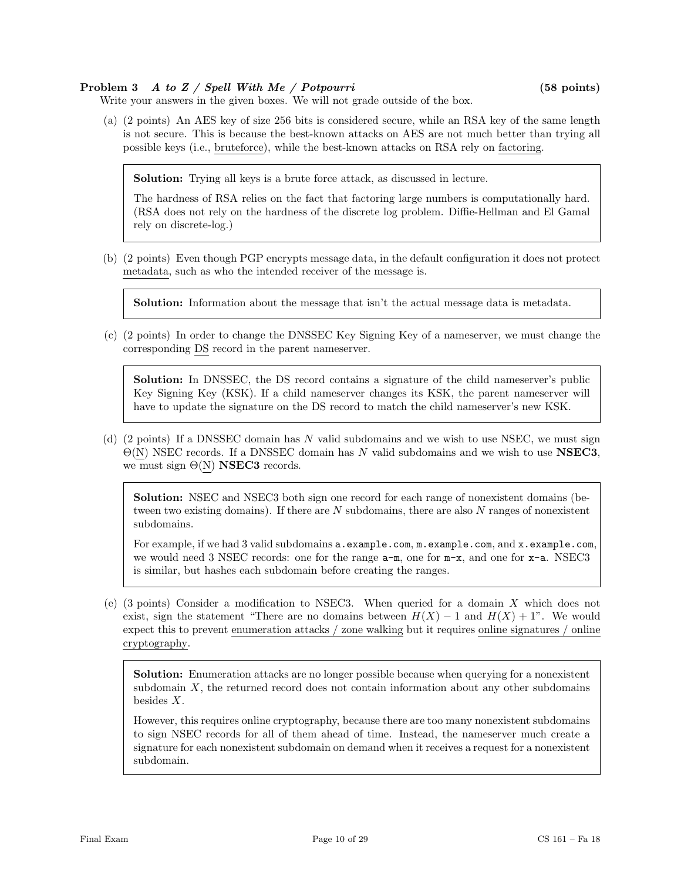### Problem 3 A to Z / Spell With Me / Potpourri (58 points)

Write your answers in the given boxes. We will not grade outside of the box.

(a) (2 points) An AES key of size 256 bits is considered secure, while an RSA key of the same length is not secure. This is because the best-known attacks on AES are not much better than trying all possible keys (i.e., bruteforce), while the best-known attacks on RSA rely on factoring.

Solution: Trying all keys is a brute force attack, as discussed in lecture.

The hardness of RSA relies on the fact that factoring large numbers is computationally hard. (RSA does not rely on the hardness of the discrete log problem. Diffie-Hellman and El Gamal rely on discrete-log.)

(b) (2 points) Even though PGP encrypts message data, in the default configuration it does not protect metadata, such as who the intended receiver of the message is.

Solution: Information about the message that isn't the actual message data is metadata.

(c) (2 points) In order to change the DNSSEC Key Signing Key of a nameserver, we must change the corresponding DS record in the parent nameserver.

Solution: In DNSSEC, the DS record contains a signature of the child nameserver's public Key Signing Key (KSK). If a child nameserver changes its KSK, the parent nameserver will have to update the signature on the DS record to match the child nameserver's new KSK.

(d) (2 points) If a DNSSEC domain has N valid subdomains and we wish to use NSEC, we must sign  $\Theta(N)$  NSEC records. If a DNSSEC domain has N valid subdomains and we wish to use **NSEC3**, we must sign  $\Theta(N)$  NSEC3 records.

Solution: NSEC and NSEC3 both sign one record for each range of nonexistent domains (between two existing domains). If there are  $N$  subdomains, there are also  $N$  ranges of nonexistent subdomains.

For example, if we had 3 valid subdomains a.example.com, m.example.com, and x.example.com, we would need 3 NSEC records: one for the range  $a-m$ , one for  $m-x$ , and one for  $x-a$ . NSEC3 is similar, but hashes each subdomain before creating the ranges.

(e) (3 points) Consider a modification to NSEC3. When queried for a domain  $X$  which does not exist, sign the statement "There are no domains between  $H(X) - 1$  and  $H(X) + 1$ ". We would expect this to prevent enumeration attacks / zone walking but it requires online signatures / online cryptography.

Solution: Enumeration attacks are no longer possible because when querying for a nonexistent subdomain  $X$ , the returned record does not contain information about any other subdomains besides X.

However, this requires online cryptography, because there are too many nonexistent subdomains to sign NSEC records for all of them ahead of time. Instead, the nameserver much create a signature for each nonexistent subdomain on demand when it receives a request for a nonexistent subdomain.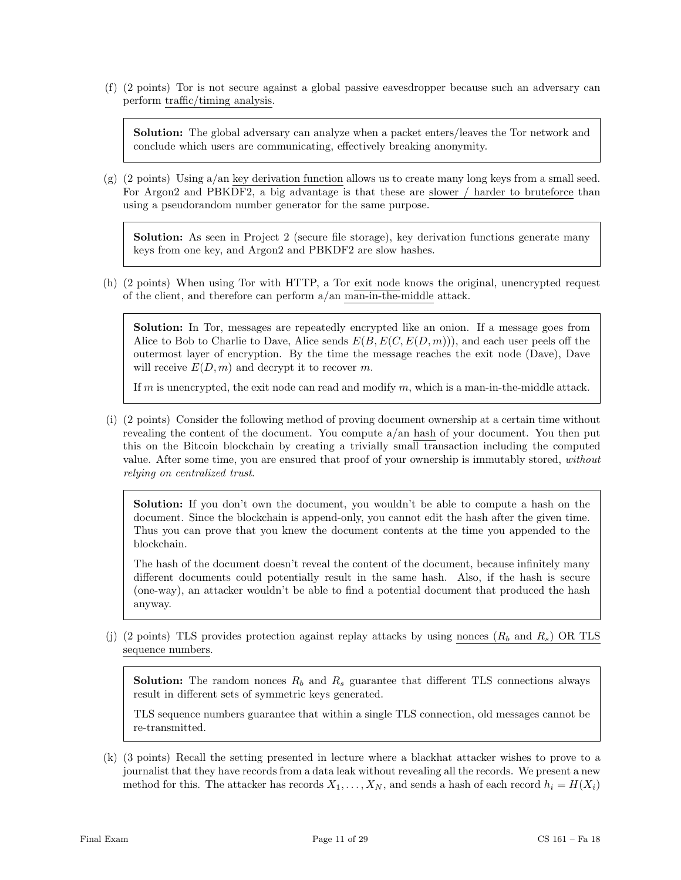(f) (2 points) Tor is not secure against a global passive eavesdropper because such an adversary can perform traffic/timing analysis.

Solution: The global adversary can analyze when a packet enters/leaves the Tor network and conclude which users are communicating, effectively breaking anonymity.

(g) (2 points) Using a/an key derivation function allows us to create many long keys from a small seed. For Argon2 and PBKDF2, a big advantage is that these are slower / harder to bruteforce than using a pseudorandom number generator for the same purpose.

Solution: As seen in Project 2 (secure file storage), key derivation functions generate many keys from one key, and Argon2 and PBKDF2 are slow hashes.

(h) (2 points) When using Tor with HTTP, a Tor exit node knows the original, unencrypted request of the client, and therefore can perform a/an man-in-the-middle attack.

Solution: In Tor, messages are repeatedly encrypted like an onion. If a message goes from Alice to Bob to Charlie to Dave, Alice sends  $E(B, E(C, E(D,m)))$ , and each user peels off the outermost layer of encryption. By the time the message reaches the exit node (Dave), Dave will receive  $E(D, m)$  and decrypt it to recover m.

If m is unencrypted, the exit node can read and modify m, which is a man-in-the-middle attack.

(i) (2 points) Consider the following method of proving document ownership at a certain time without revealing the content of the document. You compute a/an hash of your document. You then put this on the Bitcoin blockchain by creating a trivially small transaction including the computed value. After some time, you are ensured that proof of your ownership is immutably stored, without relying on centralized trust.

Solution: If you don't own the document, you wouldn't be able to compute a hash on the document. Since the blockchain is append-only, you cannot edit the hash after the given time. Thus you can prove that you knew the document contents at the time you appended to the blockchain.

The hash of the document doesn't reveal the content of the document, because infinitely many different documents could potentially result in the same hash. Also, if the hash is secure (one-way), an attacker wouldn't be able to find a potential document that produced the hash anyway.

(j) (2 points) TLS provides protection against replay attacks by using nonces  $(R_b \text{ and } R_s)$  OR TLS sequence numbers.

**Solution:** The random nonces  $R_b$  and  $R_s$  guarantee that different TLS connections always result in different sets of symmetric keys generated.

TLS sequence numbers guarantee that within a single TLS connection, old messages cannot be re-transmitted.

(k) (3 points) Recall the setting presented in lecture where a blackhat attacker wishes to prove to a journalist that they have records from a data leak without revealing all the records. We present a new method for this. The attacker has records  $X_1, \ldots, X_N$ , and sends a hash of each record  $h_i = H(X_i)$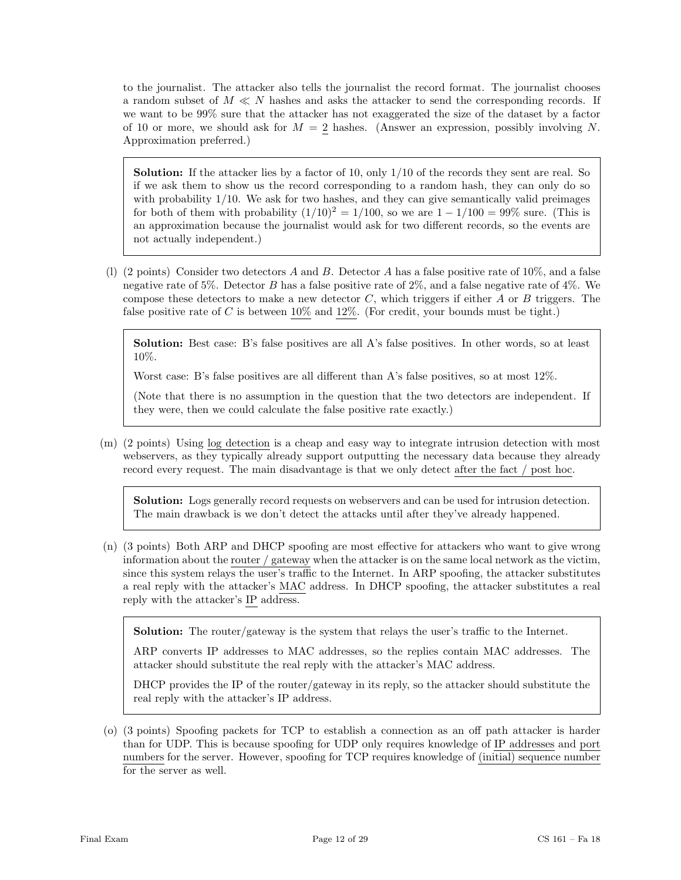to the journalist. The attacker also tells the journalist the record format. The journalist chooses a random subset of  $M \ll N$  hashes and asks the attacker to send the corresponding records. If we want to be 99% sure that the attacker has not exaggerated the size of the dataset by a factor of 10 or more, we should ask for  $M = 2$  hashes. (Answer an expression, possibly involving N. Approximation preferred.)

Solution: If the attacker lies by a factor of 10, only  $1/10$  of the records they sent are real. So if we ask them to show us the record corresponding to a random hash, they can only do so with probability  $1/10$ . We ask for two hashes, and they can give semantically valid preimages for both of them with probability  $(1/10)^2 = 1/100$ , so we are  $1 - 1/100 = 99\%$  sure. (This is an approximation because the journalist would ask for two different records, so the events are not actually independent.)

(1) (2 points) Consider two detectors A and B. Detector A has a false positive rate of  $10\%$ , and a false negative rate of 5%. Detector B has a false positive rate of 2%, and a false negative rate of 4%. We compose these detectors to make a new detector  $C$ , which triggers if either  $A$  or  $B$  triggers. The false positive rate of C is between  $10\%$  and  $12\%$ . (For credit, your bounds must be tight.)

Solution: Best case: B's false positives are all A's false positives. In other words, so at least 10%.

Worst case: B's false positives are all different than A's false positives, so at most 12%.

(Note that there is no assumption in the question that the two detectors are independent. If they were, then we could calculate the false positive rate exactly.)

(m) (2 points) Using log detection is a cheap and easy way to integrate intrusion detection with most webservers, as they typically already support outputting the necessary data because they already record every request. The main disadvantage is that we only detect after the fact / post hoc.

Solution: Logs generally record requests on webservers and can be used for intrusion detection. The main drawback is we don't detect the attacks until after they've already happened.

(n) (3 points) Both ARP and DHCP spoofing are most effective for attackers who want to give wrong information about the router  $\ell$  gateway when the attacker is on the same local network as the victim, since this system relays the user's traffic to the Internet. In ARP spoofing, the attacker substitutes a real reply with the attacker's MAC address. In DHCP spoofing, the attacker substitutes a real reply with the attacker's IP address.

Solution: The router/gateway is the system that relays the user's traffic to the Internet.

ARP converts IP addresses to MAC addresses, so the replies contain MAC addresses. The attacker should substitute the real reply with the attacker's MAC address.

DHCP provides the IP of the router/gateway in its reply, so the attacker should substitute the real reply with the attacker's IP address.

(o) (3 points) Spoofing packets for TCP to establish a connection as an off path attacker is harder than for UDP. This is because spoofing for UDP only requires knowledge of IP addresses and port numbers for the server. However, spoofing for TCP requires knowledge of (initial) sequence number for the server as well.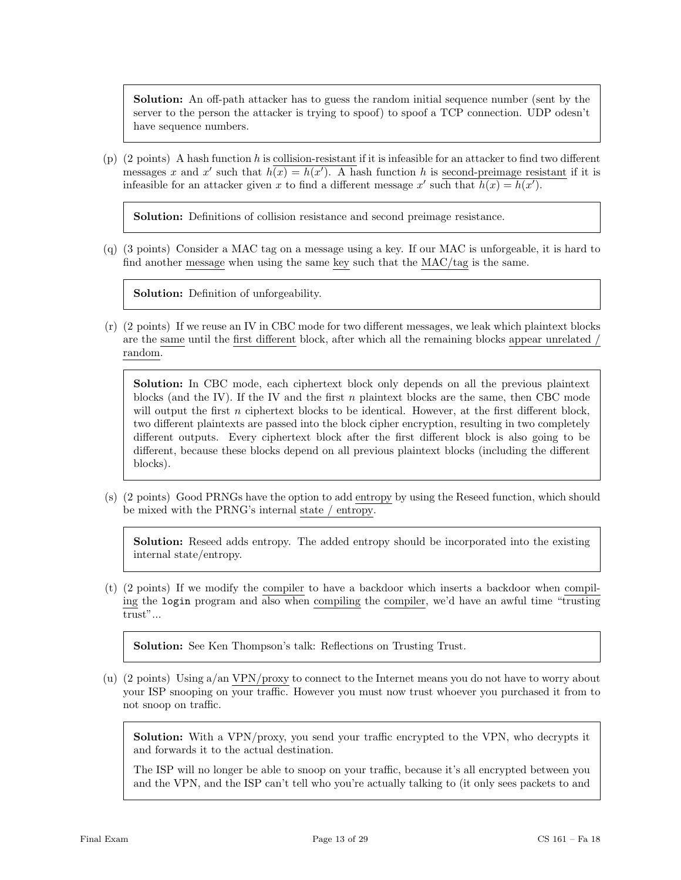Solution: An off-path attacker has to guess the random initial sequence number (sent by the server to the person the attacker is trying to spoof) to spoof a TCP connection. UDP odesn't have sequence numbers.

(p) (2 points) A hash function h is collision-resistant if it is infeasible for an attacker to find two different messages x and x' such that  $h(x) = h(x')$ . A hash function h is second-preimage resistant if it is infeasible for an attacker given x to find a different message x' such that  $h(x) = h(x')$ .

Solution: Definitions of collision resistance and second preimage resistance.

(q) (3 points) Consider a MAC tag on a message using a key. If our MAC is unforgeable, it is hard to find another message when using the same key such that the MAC/tag is the same.

Solution: Definition of unforgeability.

(r) (2 points) If we reuse an IV in CBC mode for two different messages, we leak which plaintext blocks are the same until the first different block, after which all the remaining blocks appear unrelated / random.

Solution: In CBC mode, each ciphertext block only depends on all the previous plaintext blocks (and the IV). If the IV and the first  $n$  plaintext blocks are the same, then CBC mode will output the first  $n$  ciphertext blocks to be identical. However, at the first different block, two different plaintexts are passed into the block cipher encryption, resulting in two completely different outputs. Every ciphertext block after the first different block is also going to be different, because these blocks depend on all previous plaintext blocks (including the different blocks).

(s) (2 points) Good PRNGs have the option to add entropy by using the Reseed function, which should be mixed with the PRNG's internal state / entropy.

Solution: Reseed adds entropy. The added entropy should be incorporated into the existing internal state/entropy.

(t) (2 points) If we modify the compiler to have a backdoor which inserts a backdoor when compiling the login program and also when compiling the compiler, we'd have an awful time "trusting trust"...

Solution: See Ken Thompson's talk: Reflections on Trusting Trust.

(u) (2 points) Using a/an VPN/proxy to connect to the Internet means you do not have to worry about your ISP snooping on your traffic. However you must now trust whoever you purchased it from to not snoop on traffic.

Solution: With a VPN/proxy, you send your traffic encrypted to the VPN, who decrypts it and forwards it to the actual destination.

The ISP will no longer be able to snoop on your traffic, because it's all encrypted between you and the VPN, and the ISP can't tell who you're actually talking to (it only sees packets to and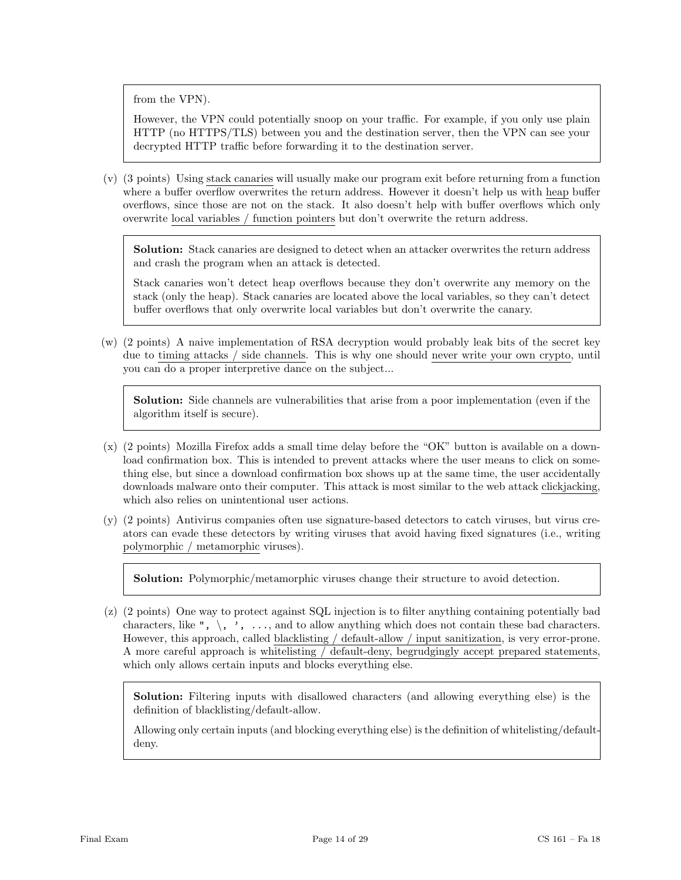from the VPN).

However, the VPN could potentially snoop on your traffic. For example, if you only use plain HTTP (no HTTPS/TLS) between you and the destination server, then the VPN can see your decrypted HTTP traffic before forwarding it to the destination server.

(v) (3 points) Using stack canaries will usually make our program exit before returning from a function where a buffer overflow overwrites the return address. However it doesn't help us with heap buffer overflows, since those are not on the stack. It also doesn't help with buffer overflows which only overwrite local variables / function pointers but don't overwrite the return address.

Solution: Stack canaries are designed to detect when an attacker overwrites the return address and crash the program when an attack is detected.

Stack canaries won't detect heap overflows because they don't overwrite any memory on the stack (only the heap). Stack canaries are located above the local variables, so they can't detect buffer overflows that only overwrite local variables but don't overwrite the canary.

(w) (2 points) A naive implementation of RSA decryption would probably leak bits of the secret key due to timing attacks / side channels. This is why one should never write your own crypto, until you can do a proper interpretive dance on the subject...

Solution: Side channels are vulnerabilities that arise from a poor implementation (even if the algorithm itself is secure).

- (x) (2 points) Mozilla Firefox adds a small time delay before the "OK" button is available on a download confirmation box. This is intended to prevent attacks where the user means to click on something else, but since a download confirmation box shows up at the same time, the user accidentally downloads malware onto their computer. This attack is most similar to the web attack clickjacking, which also relies on unintentional user actions.
- (y) (2 points) Antivirus companies often use signature-based detectors to catch viruses, but virus creators can evade these detectors by writing viruses that avoid having fixed signatures (i.e., writing polymorphic / metamorphic viruses).

Solution: Polymorphic/metamorphic viruses change their structure to avoid detection.

(z) (2 points) One way to protect against SQL injection is to filter anything containing potentially bad characters, like ",  $\langle$ , ', ..., and to allow anything which does not contain these bad characters. However, this approach, called blacklisting / default-allow / input sanitization, is very error-prone. A more careful approach is whitelisting / default-deny, begrudgingly accept prepared statements, which only allows certain inputs and blocks everything else.

Solution: Filtering inputs with disallowed characters (and allowing everything else) is the definition of blacklisting/default-allow.

Allowing only certain inputs (and blocking everything else) is the definition of whitelisting/defaultdeny.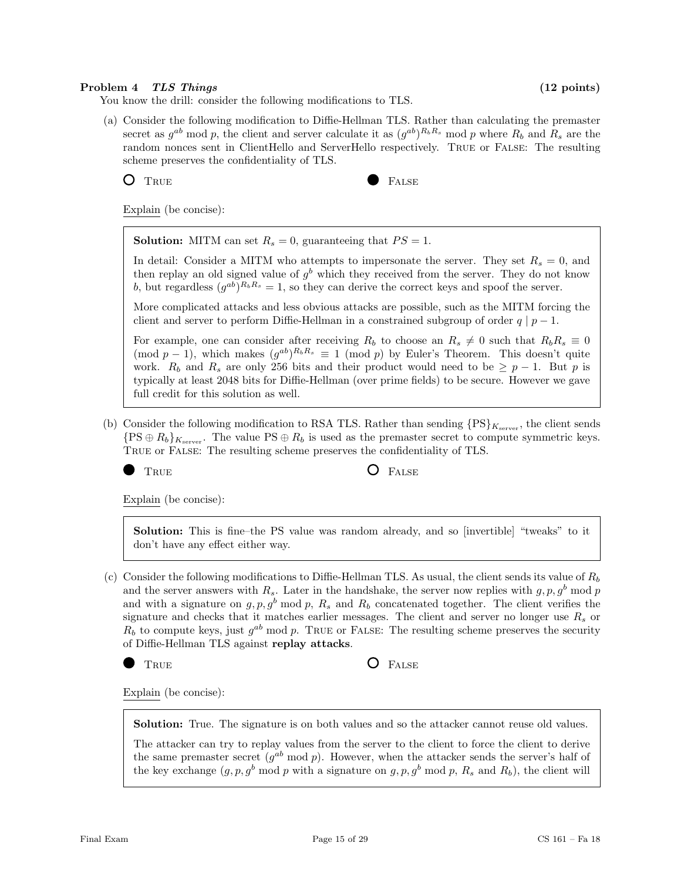### Problem 4 TLS Things (12 points)

You know the drill: consider the following modifications to TLS.

(a) Consider the following modification to Diffie-Hellman TLS. Rather than calculating the premaster secret as  $g^{ab}$  mod p, the client and server calculate it as  $(g^{ab})^{R_bR_s}$  mod p where  $R_b$  and  $R_s$  are the random nonces sent in ClientHello and ServerHello respectively. True or False: The resulting scheme preserves the confidentiality of TLS.

TRUE **FALSE** 

Explain (be concise):

**Solution:** MITM can set  $R_s = 0$ , guaranteeing that  $PS = 1$ .

In detail: Consider a MITM who attempts to impersonate the server. They set  $R_s = 0$ , and then replay an old signed value of  $g^b$  which they received from the server. They do not know b, but regardless  $(g^{ab})^{R_bR_s} = 1$ , so they can derive the correct keys and spoof the server.

More complicated attacks and less obvious attacks are possible, such as the MITM forcing the client and server to perform Diffie-Hellman in a constrained subgroup of order  $q | p - 1$ .

For example, one can consider after receiving  $R_b$  to choose an  $R_s \neq 0$  such that  $R_bR_s \equiv 0$  $(\text{mod } p-1)$ , which makes  $(g^{ab})^{R_bR_s} \equiv 1 \pmod{p}$  by Euler's Theorem. This doesn't quite work.  $R_b$  and  $R_s$  are only 256 bits and their product would need to be  $\geq p-1$ . But p is typically at least 2048 bits for Diffie-Hellman (over prime fields) to be secure. However we gave full credit for this solution as well.

(b) Consider the following modification to RSA TLS. Rather than sending  $\{PS\}_{K_{\text{server}}}$ , the client sends  $\{PS \oplus R_b\}_{K_{\text{server}}}$ . The value  $PS \oplus R_b$  is used as the premaster secret to compute symmetric keys. True or False: The resulting scheme preserves the confidentiality of TLS.



TRUE **O** FALSE

Explain (be concise):

Solution: This is fine–the PS value was random already, and so [invertible] "tweaks" to it don't have any effect either way.

(c) Consider the following modifications to Diffie-Hellman TLS. As usual, the client sends its value of  $R_b$ and the server answers with  $R_s$ . Later in the handshake, the server now replies with  $g, p, g^b \mod p$ and with a signature on  $g, p, g^b \mod p$ ,  $R_s$  and  $R_b$  concatenated together. The client verifies the signature and checks that it matches earlier messages. The client and server no longer use  $R_s$  or  $R_b$  to compute keys, just  $g^{ab}$  mod p. TRUE or FALSE: The resulting scheme preserves the security of Diffie-Hellman TLS against replay attacks.

TRUE **C** FALSE

Explain (be concise):

Solution: True. The signature is on both values and so the attacker cannot reuse old values.

The attacker can try to replay values from the server to the client to force the client to derive the same premaster secret  $(g^{ab} \mod p)$ . However, when the attacker sends the server's half of the key exchange  $(g, p, g^b \mod p$  with a signature on  $g, p, g^b \mod p$ ,  $R_s$  and  $R_b$ ), the client will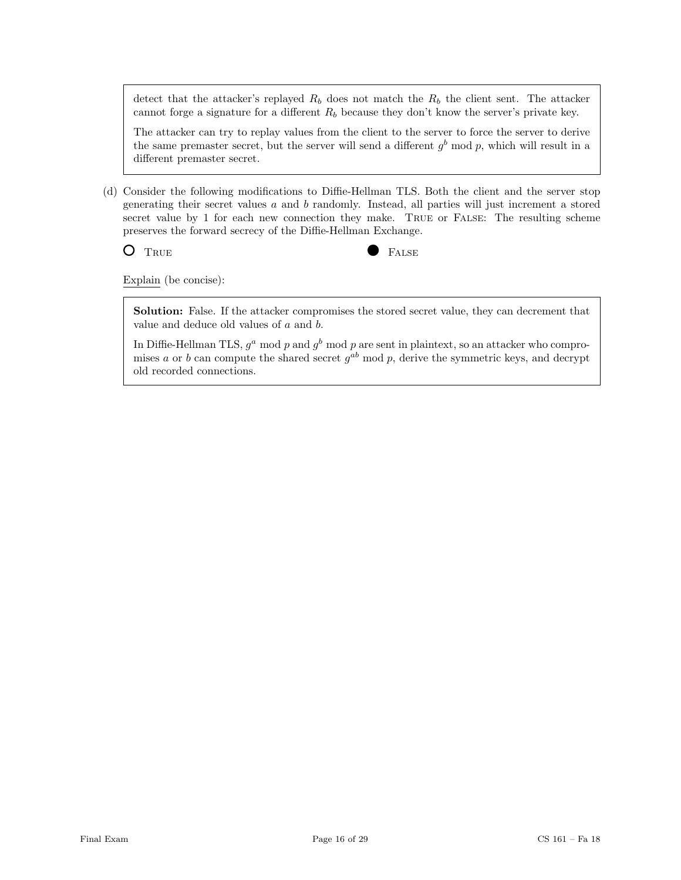detect that the attacker's replayed  $R_b$  does not match the  $R_b$  the client sent. The attacker cannot forge a signature for a different  $R_b$  because they don't know the server's private key.

The attacker can try to replay values from the client to the server to force the server to derive the same premaster secret, but the server will send a different  $g^b$  mod p, which will result in a different premaster secret.

(d) Consider the following modifications to Diffie-Hellman TLS. Both the client and the server stop generating their secret values  $a$  and  $b$  randomly. Instead, all parties will just increment a stored secret value by 1 for each new connection they make. True or False: The resulting scheme preserves the forward secrecy of the Diffie-Hellman Exchange.

O TRUE **FALSE** 

Explain (be concise):

Solution: False. If the attacker compromises the stored secret value, they can decrement that value and deduce old values of a and b.

In Diffie-Hellman TLS,  $g^a$  mod p and  $g^b$  mod p are sent in plaintext, so an attacker who compromises a or b can compute the shared secret  $g^{ab}$  mod p, derive the symmetric keys, and decrypt old recorded connections.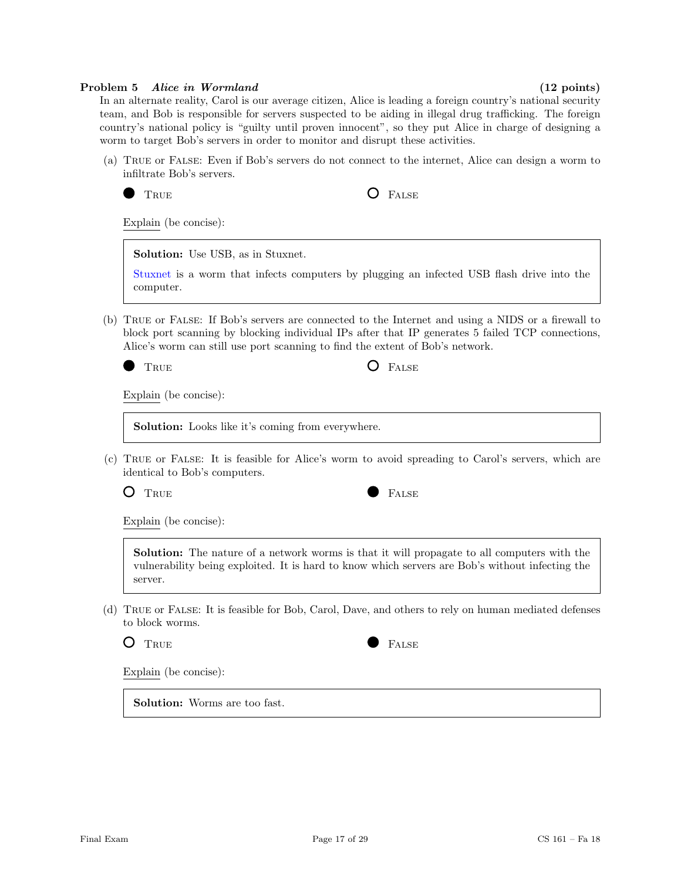#### Problem 5 Alice in Wormland (12 points)

In an alternate reality, Carol is our average citizen, Alice is leading a foreign country's national security team, and Bob is responsible for servers suspected to be aiding in illegal drug trafficking. The foreign country's national policy is "guilty until proven innocent", so they put Alice in charge of designing a worm to target Bob's servers in order to monitor and disrupt these activities.

(a) True or False: Even if Bob's servers do not connect to the internet, Alice can design a worm to infiltrate Bob's servers.

TRUE **O** FALSE

Explain (be concise):

Solution: Use USB, as in Stuxnet.

[Stuxnet](https://en.wikipedia.org/wiki/Stuxnet) is a worm that infects computers by plugging an infected USB flash drive into the computer.

(b) True or False: If Bob's servers are connected to the Internet and using a NIDS or a firewall to block port scanning by blocking individual IPs after that IP generates 5 failed TCP connections, Alice's worm can still use port scanning to find the extent of Bob's network.

TRUE **O** FALSE

Explain (be concise):

Solution: Looks like it's coming from everywhere.

(c) True or False: It is feasible for Alice's worm to avoid spreading to Carol's servers, which are identical to Bob's computers.



Explain (be concise):

Solution: The nature of a network worms is that it will propagate to all computers with the vulnerability being exploited. It is hard to know which servers are Bob's without infecting the server.

(d) True or False: It is feasible for Bob, Carol, Dave, and others to rely on human mediated defenses to block worms.



Explain (be concise):

Solution: Worms are too fast.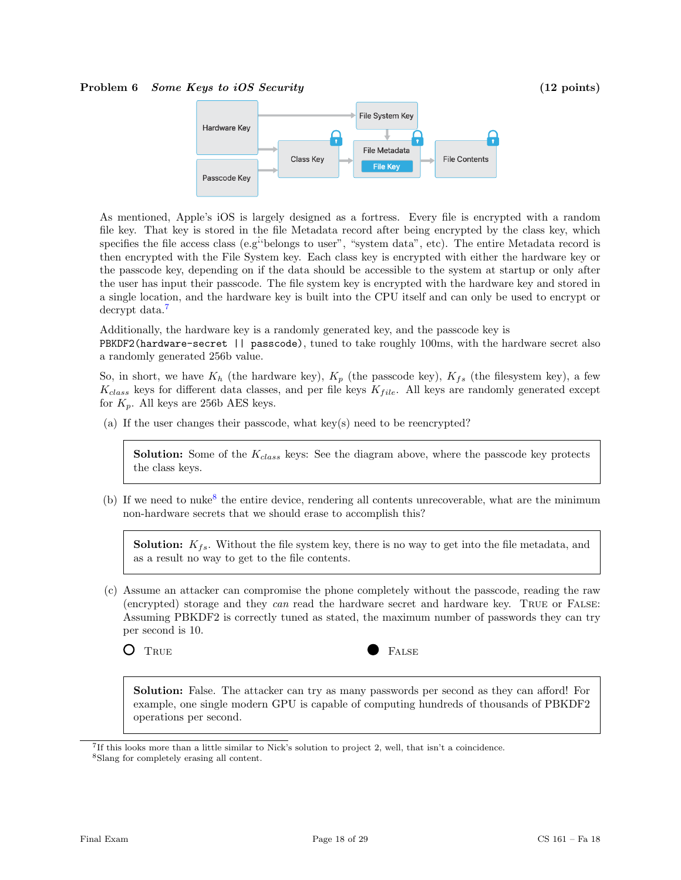#### Problem 6 Some Keys to iOS Security (12 points)



As mentioned, Apple's iOS is largely designed as a fortress. Every file is encrypted with a random file key. That key is stored in the file Metadata record after being encrypted by the class key, which specifies the file access class (e.g<sup>*i*</sup>belongs to user", "system data", etc). The entire Metadata record is then encrypted with the File System key. Each class key is encrypted with either the hardware key or the passcode key, depending on if the data should be accessible to the system at startup or only after the user has input their passcode. The file system key is encrypted with the hardware key and stored in a single location, and the hardware key is built into the CPU itself and can only be used to encrypt or decrypt data.<sup>[7](#page-17-0)</sup>

Additionally, the hardware key is a randomly generated key, and the passcode key is

PBKDF2(hardware-secret || passcode), tuned to take roughly 100ms, with the hardware secret also a randomly generated 256b value.

So, in short, we have  $K_h$  (the hardware key),  $K_p$  (the passcode key),  $K_{fs}$  (the filesystem key), a few  $K_{class}$  keys for different data classes, and per file keys  $K_{file}$ . All keys are randomly generated except for  $K_p$ . All keys are 256b AES keys.

(a) If the user changes their passcode, what key(s) need to be reencrypted?

**Solution:** Some of the  $K_{class}$  keys: See the diagram above, where the passcode key protects the class keys.

(b) If we need to nuke<sup>[8](#page-17-1)</sup> the entire device, rendering all contents unrecoverable, what are the minimum non-hardware secrets that we should erase to accomplish this?

**Solution:**  $K_{fs}$ . Without the file system key, there is no way to get into the file metadata, and as a result no way to get to the file contents.

(c) Assume an attacker can compromise the phone completely without the passcode, reading the raw (encrypted) storage and they can read the hardware secret and hardware key. True or False: Assuming PBKDF2 is correctly tuned as stated, the maximum number of passwords they can try per second is 10.



Solution: False. The attacker can try as many passwords per second as they can afford! For example, one single modern GPU is capable of computing hundreds of thousands of PBKDF2 operations per second.

<span id="page-17-1"></span><span id="page-17-0"></span><sup>7</sup> If this looks more than a little similar to Nick's solution to project 2, well, that isn't a coincidence. <sup>8</sup>Slang for completely erasing all content.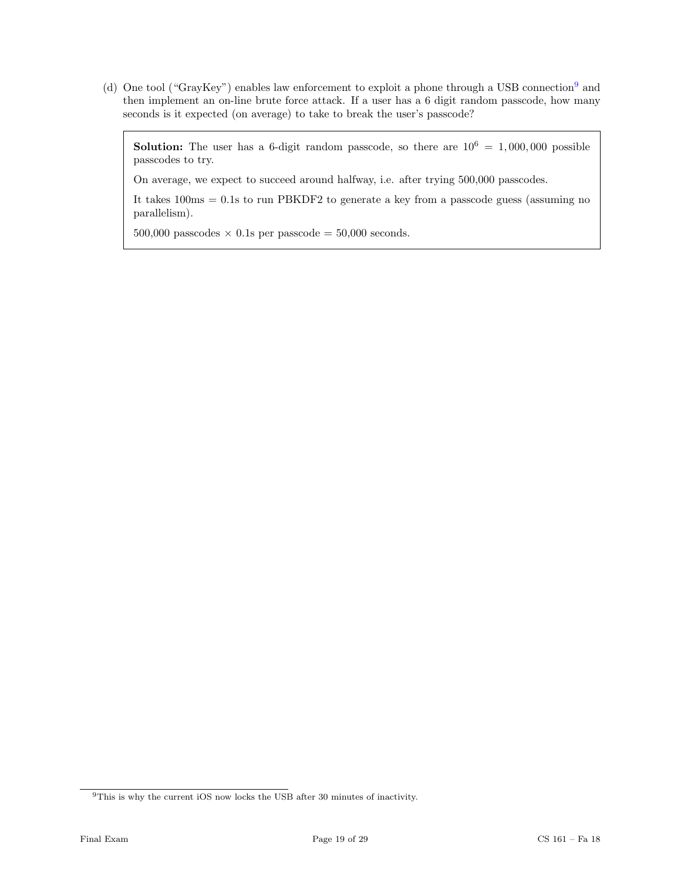(d) One tool ("GrayKey") enables law enforcement to exploit a phone through a USB connection[9](#page-18-0) and then implement an on-line brute force attack. If a user has a 6 digit random passcode, how many seconds is it expected (on average) to take to break the user's passcode?

**Solution:** The user has a 6-digit random passcode, so there are  $10^6 = 1,000,000$  possible passcodes to try.

On average, we expect to succeed around halfway, i.e. after trying 500,000 passcodes.

It takes 100ms = 0.1s to run PBKDF2 to generate a key from a passcode guess (assuming no parallelism).

500,000 passcodes  $\times$  0.1s per passcode = 50,000 seconds.

<span id="page-18-0"></span> $^{9}$  This is why the current iOS now locks the USB after 30 minutes of inactivity.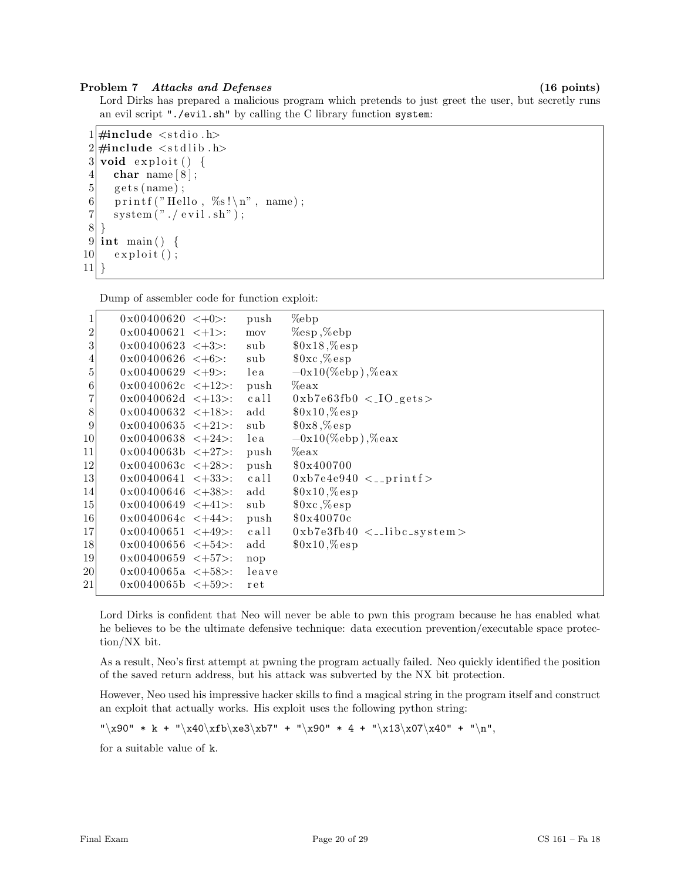### Problem 7 Attacks and Defenses (16 points)

Lord Dirks has prepared a malicious program which pretends to just greet the user, but secretly runs an evil script "./evil.sh" by calling the C library function system:

```
1 \#include \ltstdio.h>
 2 \#include \leq \leq \leq \leq \leq \leq \leq \leq \leq \leq \leq \leq \leq \leq \leq \leq \leq \leq \leq \leq \leq \leq \leq \leq \leq \leq \leq \leq \leq \leq \leq \leq \leq \leq \leq \leq3 void exploit () {
 4 char name [8];
 5 \mid gets (name);
 6 printf ("Hello, %s!\n", name);
 7 system ("./\text{ evil.sh"});
 8 }
 9 int main () {
10 exploit ();
11}
```
Dump of assembler code for function exploit:

| 1                | $0x00400620 < +0$       | push  | $\%$ ebp                                    |
|------------------|-------------------------|-------|---------------------------------------------|
| $\boldsymbol{2}$ | $0x00400621 < +1$ :     | mov   | $\%$ esp, $\%$ ebp                          |
| 3                | $0x00400623 \leq +3$ :  | sub   | $0x18, %$ esp                               |
| 4                | $0x00400626 < +6$ :     | sub   | $0 \times \mathcal{C}$ esp                  |
| 5                | $0x00400629 < +9$ :     | lea   | $-0x10$ (%ebp),%eax                         |
| $\,6$            | $0x0040062c < +12$ :    | push  | $\%$ eax                                    |
| 7                | $0x0040062d < +13$ :    | call  | $0xb7e63fb0 < 10-gets$                      |
| $8\,$            | $0x00400632 \leq +18$ . | add   | $0x10, %$ esp                               |
| $9\,$            | $0x00400635 \leq +21$ : | sub   | $0x8, %$ esp                                |
| 10               | $0x00400638 < +24$ :    | lea   | $-0x10$ (%ebp),%eax                         |
| 11               | $0x0040063b \leq +27$ : | push  | $\%$ eax                                    |
| 12               | $0x0040063c < +28$ .    | push  | \$0x400700                                  |
| 13               | $0x00400641 < +33$ .    | call  | $0 \times b7e4e940 \leq \text{print}f$      |
| 14               | $0x00400646 < +38$ .    | add   | $0x10, %$ esp                               |
| 15               | $0x00400649 \leq +41$ : | sub   | $0 \times \mathcal{C}$ esp                  |
| 16               | $0x0040064c < +44$ .    | push  | \$0x40070c                                  |
| 17               | $0x00400651 < +49$ .    | call  | $0 \times b7e3fb40 \leq \text{libc-system}$ |
| 18               | $0x00400656 \leq +54>$  | add   | $0x10, %$ esp                               |
| 19               | $0x00400659 \leq +57$ : | nop   |                                             |
| 20               | $0x0040065a < +58$ .    | leave |                                             |
| 21               | $0x0040065b < +59$ :    | ret   |                                             |
|                  |                         |       |                                             |

Lord Dirks is confident that Neo will never be able to pwn this program because he has enabled what he believes to be the ultimate defensive technique: data execution prevention/executable space protection/NX bit.

As a result, Neo's first attempt at pwning the program actually failed. Neo quickly identified the position of the saved return address, but his attack was subverted by the NX bit protection.

However, Neo used his impressive hacker skills to find a magical string in the program itself and construct an exploit that actually works. His exploit uses the following python string:

 $"\x90" * k + "\x40\xfb\ze3\xb7" + "\x90" * 4 + "\x13\xo7\xa0" + "\n",$ 

for a suitable value of k.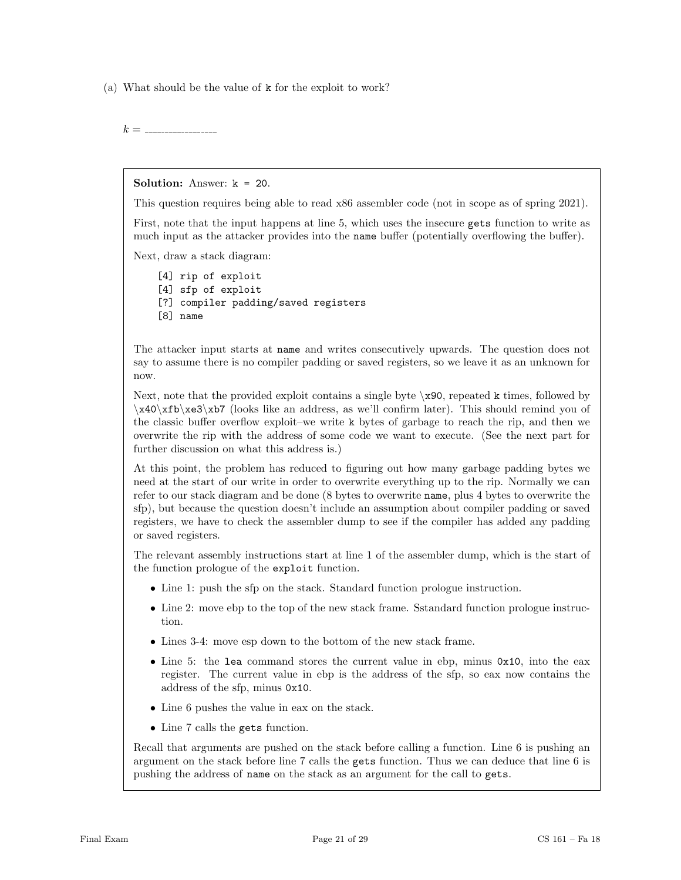(a) What should be the value of k for the exploit to work?

k =

Solution: Answer: k = 20.

This question requires being able to read x86 assembler code (not in scope as of spring 2021).

First, note that the input happens at line 5, which uses the insecure gets function to write as much input as the attacker provides into the name buffer (potentially overflowing the buffer).

Next, draw a stack diagram:

[4] rip of exploit [4] sfp of exploit [?] compiler padding/saved registers [8] name

The attacker input starts at name and writes consecutively upwards. The question does not say to assume there is no compiler padding or saved registers, so we leave it as an unknown for now.

Next, note that the provided exploit contains a single byte  $x90$ , repeated k times, followed by \x40\xfb\xe3\xb7 (looks like an address, as we'll confirm later). This should remind you of the classic buffer overflow exploit–we write k bytes of garbage to reach the rip, and then we overwrite the rip with the address of some code we want to execute. (See the next part for further discussion on what this address is.)

At this point, the problem has reduced to figuring out how many garbage padding bytes we need at the start of our write in order to overwrite everything up to the rip. Normally we can refer to our stack diagram and be done (8 bytes to overwrite name, plus 4 bytes to overwrite the sfp), but because the question doesn't include an assumption about compiler padding or saved registers, we have to check the assembler dump to see if the compiler has added any padding or saved registers.

The relevant assembly instructions start at line 1 of the assembler dump, which is the start of the function prologue of the exploit function.

- Line 1: push the stap on the stack. Standard function prologue instruction.
- Line 2: move ebp to the top of the new stack frame. Sstandard function prologue instruction.
- Lines 3-4: move esp down to the bottom of the new stack frame.
- Line 5: the lea command stores the current value in ebp, minus 0x10, into the eax register. The current value in ebp is the address of the sfp, so eax now contains the address of the sfp, minus 0x10.
- $\bullet\,$  Line 6 pushes the value in eax on the stack.
- Line 7 calls the gets function.

Recall that arguments are pushed on the stack before calling a function. Line 6 is pushing an argument on the stack before line 7 calls the gets function. Thus we can deduce that line 6 is pushing the address of name on the stack as an argument for the call to gets.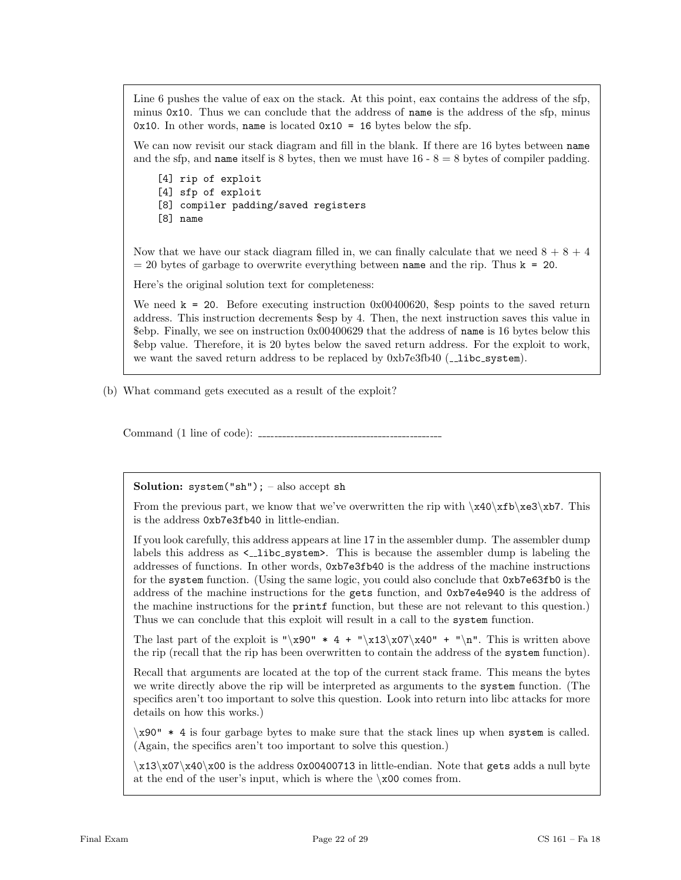Line 6 pushes the value of eax on the stack. At this point, eax contains the address of the sfp, minus 0x10. Thus we can conclude that the address of name is the address of the sfp, minus 0x10. In other words, name is located  $0x10 = 16$  bytes below the sfp.

We can now revisit our stack diagram and fill in the blank. If there are 16 bytes between name and the sfp, and **name** itself is 8 bytes, then we must have  $16 - 8 = 8$  bytes of compiler padding.

[4] rip of exploit [4] sfp of exploit [8] compiler padding/saved registers [8] name

Now that we have our stack diagram filled in, we can finally calculate that we need  $8 + 8 + 4$  $= 20$  bytes of garbage to overwrite everything between name and the rip. Thus  $k = 20$ .

Here's the original solution text for completeness:

We need  $k = 20$ . Before executing instruction  $0x00400620$ , sesp points to the saved return address. This instruction decrements \$esp by 4. Then, the next instruction saves this value in \$ebp. Finally, we see on instruction 0x00400629 that the address of name is 16 bytes below this \$ebp value. Therefore, it is 20 bytes below the saved return address. For the exploit to work, we want the saved return address to be replaced by  $0xb7e3fb40$  ( $\Box$ libc\_system).

(b) What command gets executed as a result of the exploit?

Command (1 line of code):

Solution:  $s$ ystem("sh"); – also accept sh

From the previous part, we know that we've overwritten the rip with  $x40\xfb\xe3\xb7$ . This is the address 0xb7e3fb40 in little-endian.

If you look carefully, this address appears at line 17 in the assembler dump. The assembler dump labels this address as  $\leq$ -libc system>. This is because the assembler dump is labeling the addresses of functions. In other words, 0xb7e3fb40 is the address of the machine instructions for the system function. (Using the same logic, you could also conclude that 0xb7e63fb0 is the address of the machine instructions for the gets function, and 0xb7e4e940 is the address of the machine instructions for the printf function, but these are not relevant to this question.) Thus we can conclude that this exploit will result in a call to the system function.

The last part of the exploit is "\x90"  $*$  4 + "\x13\x07\x40" + "\n". This is written above the rip (recall that the rip has been overwritten to contain the address of the system function).

Recall that arguments are located at the top of the current stack frame. This means the bytes we write directly above the rip will be interpreted as arguments to the system function. (The specifics aren't too important to solve this question. Look into return into libc attacks for more details on how this works.)

\x90" \* 4 is four garbage bytes to make sure that the stack lines up when system is called. (Again, the specifics aren't too important to solve this question.)

 $\x13\x07\x40\x00$  is the address 0x00400713 in little-endian. Note that gets adds a null byte at the end of the user's input, which is where the  $\chi$ 00 comes from.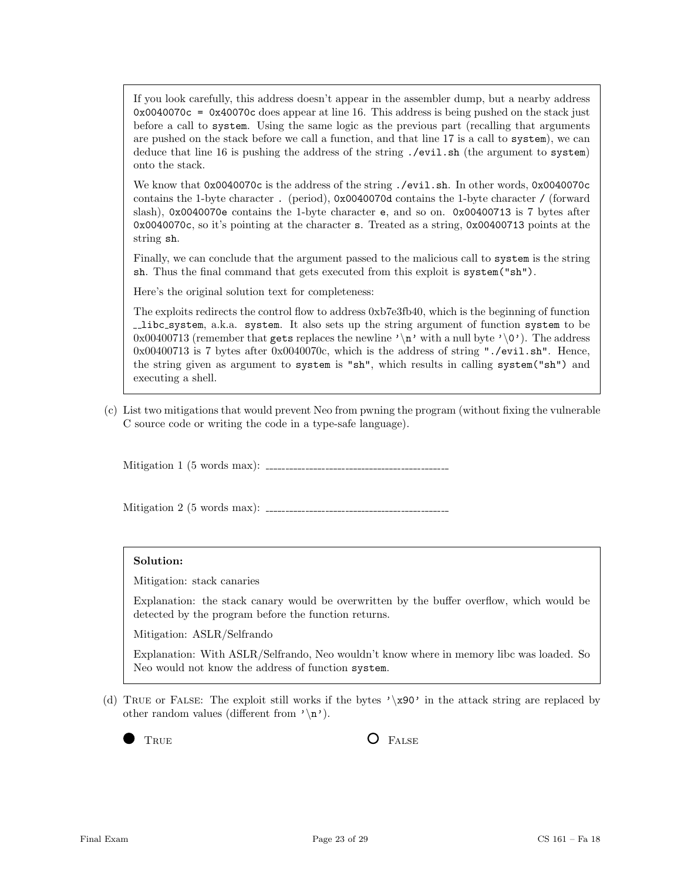If you look carefully, this address doesn't appear in the assembler dump, but a nearby address  $0x0040070c = 0x40070c$  does appear at line 16. This address is being pushed on the stack just before a call to system. Using the same logic as the previous part (recalling that arguments are pushed on the stack before we call a function, and that line 17 is a call to system), we can deduce that line 16 is pushing the address of the string ./evil.sh (the argument to system) onto the stack.

We know that 0x0040070c is the address of the string ./evil.sh. In other words, 0x0040070c contains the 1-byte character . (period), 0x0040070d contains the 1-byte character / (forward slash), 0x0040070e contains the 1-byte character e, and so on. 0x00400713 is 7 bytes after 0x0040070c, so it's pointing at the character s. Treated as a string, 0x00400713 points at the string sh.

Finally, we can conclude that the argument passed to the malicious call to system is the string sh. Thus the final command that gets executed from this exploit is system("sh").

Here's the original solution text for completeness:

The exploits redirects the control flow to address 0xb7e3fb40, which is the beginning of function libc system, a.k.a. system. It also sets up the string argument of function system to be 0x00400713 (remember that gets replaces the newline  $\lambda \nightharpoonup \nightharpoonup$  with a null byte  $\lambda \cdot \cdot \cdot$ ). The address 0x00400713 is 7 bytes after 0x0040070c, which is the address of string "./evil.sh". Hence, the string given as argument to system is "sh", which results in calling system("sh") and executing a shell.

(c) List two mitigations that would prevent Neo from pwning the program (without fixing the vulnerable C source code or writing the code in a type-safe language).

Mitigation 1 (5 words max):

Mitigation 2 (5 words max):

#### Solution:

Mitigation: stack canaries

Explanation: the stack canary would be overwritten by the buffer overflow, which would be detected by the program before the function returns.

Mitigation: ASLR/Selfrando

Explanation: With ASLR/Selfrando, Neo wouldn't know where in memory libc was loaded. So Neo would not know the address of function system.

(d) TRUE or FALSE: The exploit still works if the bytes  $\chi$ 80' in the attack string are replaced by other random values (different from  $'\n\rightharpoonup$ n').

TRUE **O** FALSE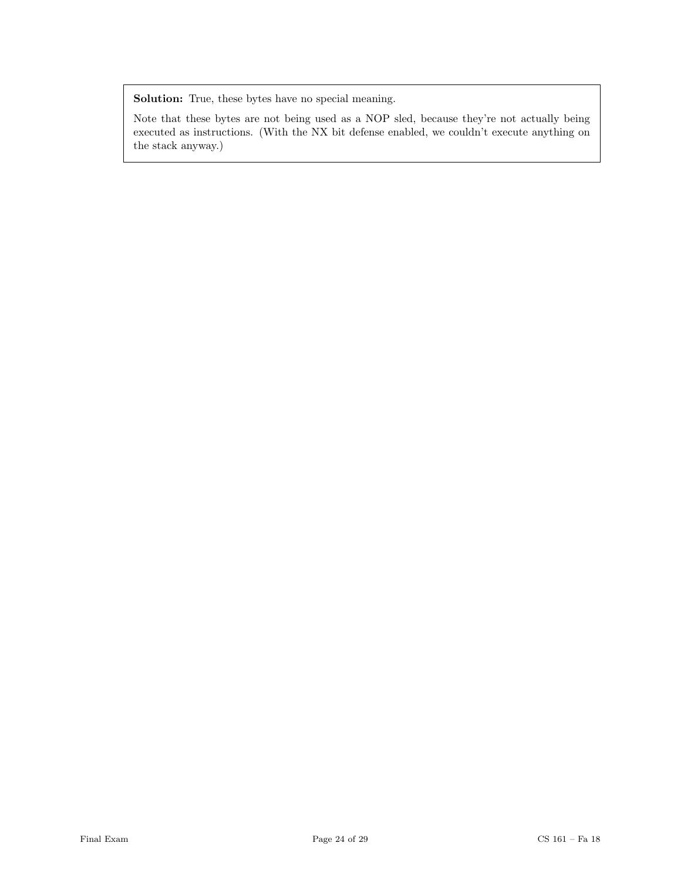Solution: True, these bytes have no special meaning.

Note that these bytes are not being used as a NOP sled, because they're not actually being executed as instructions. (With the NX bit defense enabled, we couldn't execute anything on the stack anyway.)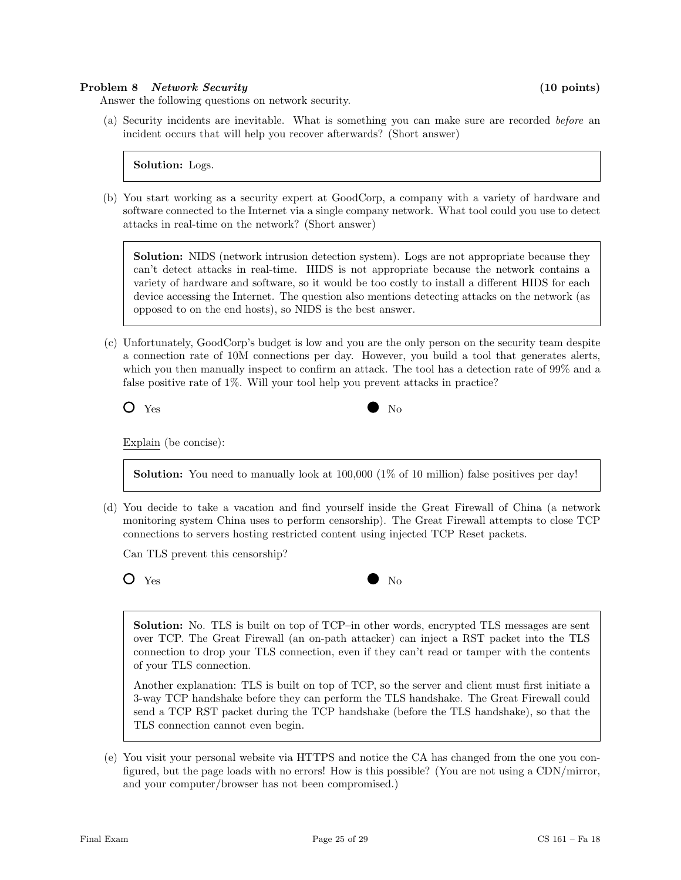#### Problem 8 Network Security (10 points)

Answer the following questions on network security.

(a) Security incidents are inevitable. What is something you can make sure are recorded before an incident occurs that will help you recover afterwards? (Short answer)

Solution: Logs.

(b) You start working as a security expert at GoodCorp, a company with a variety of hardware and software connected to the Internet via a single company network. What tool could you use to detect attacks in real-time on the network? (Short answer)

Solution: NIDS (network intrusion detection system). Logs are not appropriate because they can't detect attacks in real-time. HIDS is not appropriate because the network contains a variety of hardware and software, so it would be too costly to install a different HIDS for each device accessing the Internet. The question also mentions detecting attacks on the network (as opposed to on the end hosts), so NIDS is the best answer.

(c) Unfortunately, GoodCorp's budget is low and you are the only person on the security team despite a connection rate of 10M connections per day. However, you build a tool that generates alerts, which you then manually inspect to confirm an attack. The tool has a detection rate of 99% and a false positive rate of 1%. Will your tool help you prevent attacks in practice?

Yes No

Explain (be concise):

**Solution:** You need to manually look at  $100,000$  (1% of 10 million) false positives per day!

(d) You decide to take a vacation and find yourself inside the Great Firewall of China (a network monitoring system China uses to perform censorship). The Great Firewall attempts to close TCP connections to servers hosting restricted content using injected TCP Reset packets.

Can TLS prevent this censorship?

| ×<br>۰. | ۰,<br>v<br>I |
|---------|--------------|
|---------|--------------|

Yes No

Solution: No. TLS is built on top of TCP–in other words, encrypted TLS messages are sent over TCP. The Great Firewall (an on-path attacker) can inject a RST packet into the TLS connection to drop your TLS connection, even if they can't read or tamper with the contents of your TLS connection.

Another explanation: TLS is built on top of TCP, so the server and client must first initiate a 3-way TCP handshake before they can perform the TLS handshake. The Great Firewall could send a TCP RST packet during the TCP handshake (before the TLS handshake), so that the TLS connection cannot even begin.

(e) You visit your personal website via HTTPS and notice the CA has changed from the one you configured, but the page loads with no errors! How is this possible? (You are not using a CDN/mirror, and your computer/browser has not been compromised.)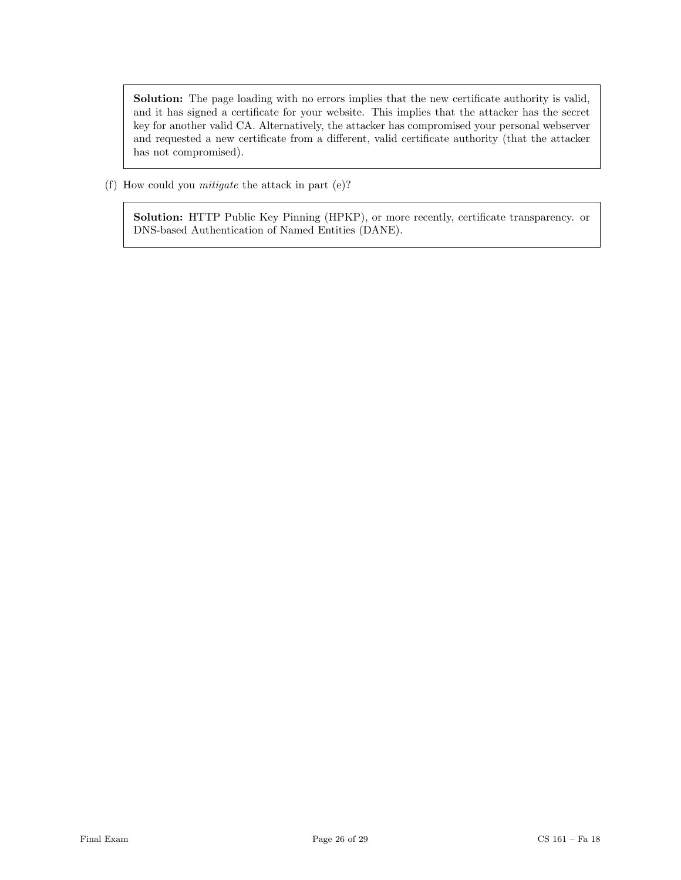Solution: The page loading with no errors implies that the new certificate authority is valid, and it has signed a certificate for your website. This implies that the attacker has the secret key for another valid CA. Alternatively, the attacker has compromised your personal webserver and requested a new certificate from a different, valid certificate authority (that the attacker has not compromised).

(f) How could you mitigate the attack in part (e)?

Solution: HTTP Public Key Pinning (HPKP), or more recently, certificate transparency. or DNS-based Authentication of Named Entities (DANE).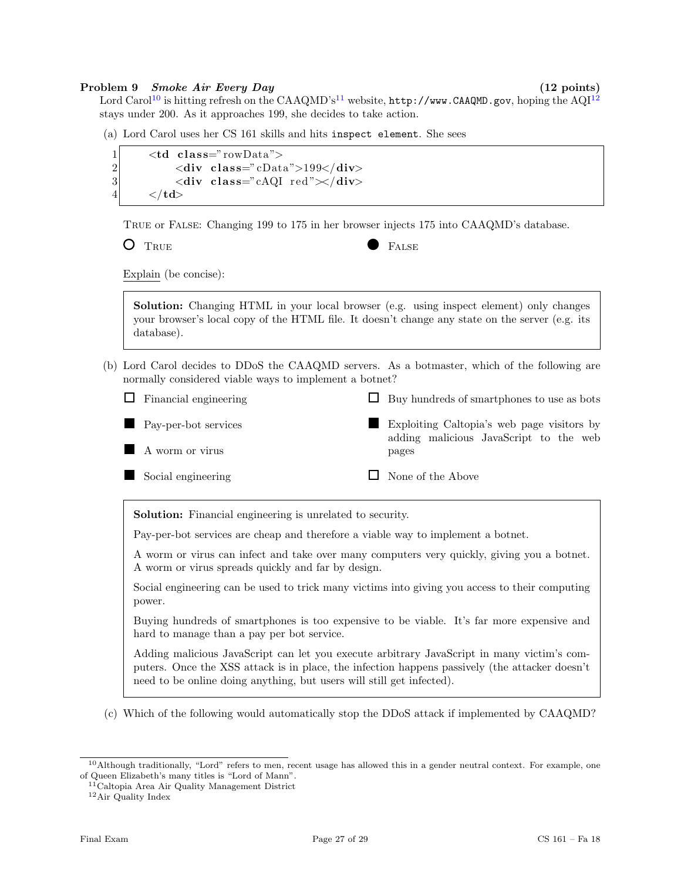#### Problem 9 Smoke Air Every Day (12 points)

Lord Carol<sup>[10](#page-26-0)</sup> is hitting refresh on the CAAQMD's<sup>[11](#page-26-1)</sup> website, http://www.CAAQMD.gov, hoping the AQI<sup>[12](#page-26-2)</sup> stays under 200. As it approaches 199, she decides to take action.

(a) Lord Carol uses her CS 161 skills and hits inspect element. She sees

```
1 <td class="rowData">
2 \langle \text{div class} = \text{cData} \text{''}>199 \langle \text{div} \rangle3 <div class="cAQI red"\ltdiv>
4 \langle t \, \mathbf{d} \rangle
```
True or False: Changing 199 to 175 in her browser injects 175 into CAAQMD's database.

O TRUE **FALSE** 

Explain (be concise):

Solution: Changing HTML in your local browser (e.g. using inspect element) only changes your browser's local copy of the HTML file. It doesn't change any state on the server (e.g. its database).

(b) Lord Carol decides to DDoS the CAAQMD servers. As a botmaster, which of the following are normally considered viable ways to implement a botnet?

 $\Box$  Financial engineering Pay-per-bot services A worm or virus Social engineering  $\Box$  Buy hundreds of smartphones to use as bots Exploiting Caltopia's web page visitors by adding malicious JavaScript to the web pages  $\Box$  None of the Above

Solution: Financial engineering is unrelated to security.

Pay-per-bot services are cheap and therefore a viable way to implement a botnet.

A worm or virus can infect and take over many computers very quickly, giving you a botnet. A worm or virus spreads quickly and far by design.

Social engineering can be used to trick many victims into giving you access to their computing power.

Buying hundreds of smartphones is too expensive to be viable. It's far more expensive and hard to manage than a pay per bot service.

Adding malicious JavaScript can let you execute arbitrary JavaScript in many victim's computers. Once the XSS attack is in place, the infection happens passively (the attacker doesn't need to be online doing anything, but users will still get infected).

(c) Which of the following would automatically stop the DDoS attack if implemented by CAAQMD?

<span id="page-26-0"></span><sup>10</sup>Although traditionally, "Lord" refers to men, recent usage has allowed this in a gender neutral context. For example, one of Queen Elizabeth's many titles is "Lord of Mann".

<span id="page-26-1"></span><sup>11</sup>Caltopia Area Air Quality Management District

<span id="page-26-2"></span><sup>12</sup>Air Quality Index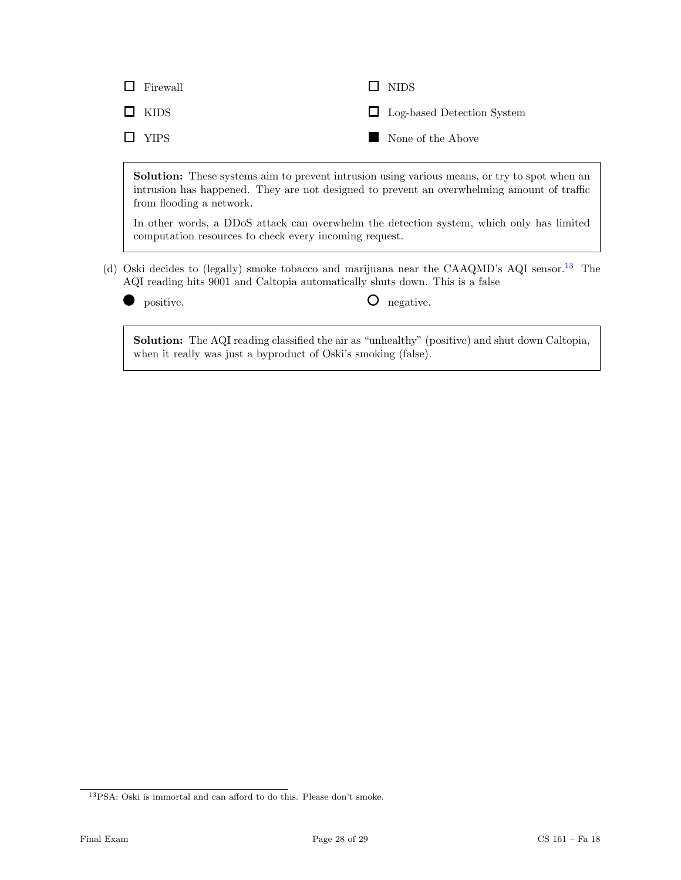| $\Box$ Firewall | $\Box$ NIDS                       |
|-----------------|-----------------------------------|
| $\Box$ KIDS     | $\Box$ Log-based Detection System |
| $\Box$ YIPS     | None of the Above                 |

Solution: These systems aim to prevent intrusion using various means, or try to spot when an intrusion has happened. They are not designed to prevent an overwhelming amount of traffic from flooding a network.

In other words, a DDoS attack can overwhelm the detection system, which only has limited computation resources to check every incoming request.

- (d) Oski decides to (legally) smoke tobacco and marijuana near the CAAQMD's AQI sensor.[13](#page-27-0) The AQI reading hits 9001 and Caltopia automatically shuts down. This is a false
	-

positive.  $\bullet$  negative.

Solution: The AQI reading classified the air as "unhealthy" (positive) and shut down Caltopia, when it really was just a byproduct of Oski's smoking (false).

<span id="page-27-0"></span><sup>13</sup>PSA: Oski is immortal and can afford to do this. Please don't smoke.